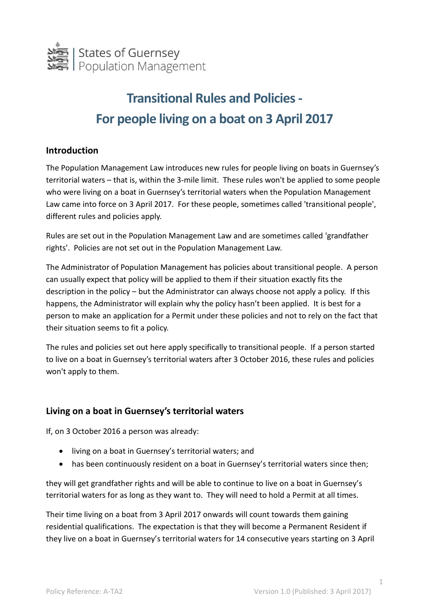

## **Transitional Rules and Policies - For people living on a boat on 3 April 2017**

## **Introduction**

The Population Management Law introduces new rules for people living on boats in Guernsey's territorial waters – that is, within the 3-mile limit. These rules won't be applied to some people who were living on a boat in Guernsey's territorial waters when the Population Management Law came into force on 3 April 2017. For these people, sometimes called 'transitional people', different rules and policies apply.

Rules are set out in the Population Management Law and are sometimes called 'grandfather rights'. Policies are not set out in the Population Management Law.

The Administrator of Population Management has policies about transitional people. A person can usually expect that policy will be applied to them if their situation exactly fits the description in the policy – but the Administrator can always choose not apply a policy. If this happens, the Administrator will explain why the policy hasn't been applied. It is best for a person to make an application for a Permit under these policies and not to rely on the fact that their situation seems to fit a policy.

The rules and policies set out here apply specifically to transitional people. If a person started to live on a boat in Guernsey's territorial waters after 3 October 2016, these rules and policies won't apply to them.

## **Living on a boat in Guernsey's territorial waters**

If, on 3 October 2016 a person was already:

- living on a boat in Guernsey's territorial waters; and
- has been continuously resident on a boat in Guernsey's territorial waters since then;

they will get grandfather rights and will be able to continue to live on a boat in Guernsey's territorial waters for as long as they want to. They will need to hold a Permit at all times.

Their time living on a boat from 3 April 2017 onwards will count towards them gaining residential qualifications. The expectation is that they will become a Permanent Resident if they live on a boat in Guernsey's territorial waters for 14 consecutive years starting on 3 April